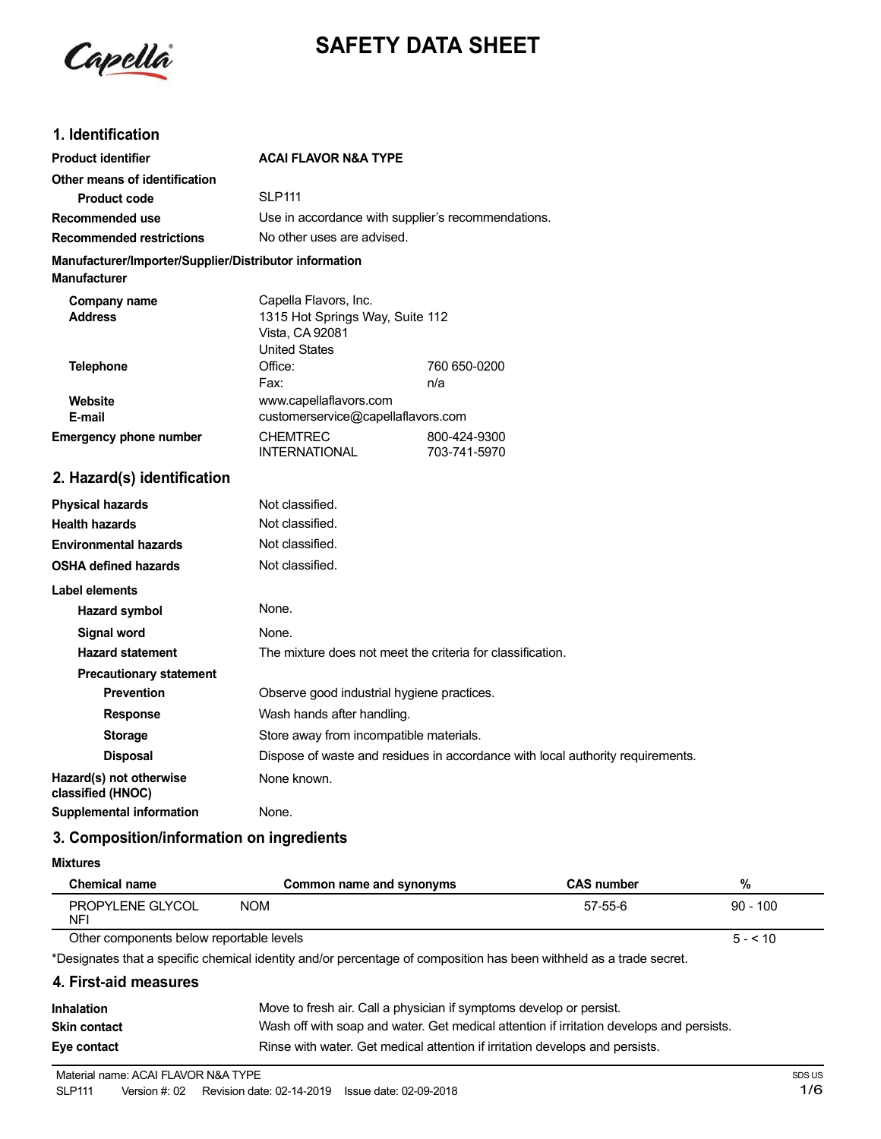

# **SAFETY DATA SHEET**

### **1. Identification**

| <b>Product identifier</b>                                                     | <b>ACAI FLAVOR N&amp;A TYPE</b>                                                                     |                              |
|-------------------------------------------------------------------------------|-----------------------------------------------------------------------------------------------------|------------------------------|
| Other means of identification                                                 |                                                                                                     |                              |
| <b>Product code</b>                                                           | <b>SLP111</b>                                                                                       |                              |
| Recommended use                                                               | Use in accordance with supplier's recommendations.                                                  |                              |
| <b>Recommended restrictions</b>                                               | No other uses are advised.                                                                          |                              |
| Manufacturer/Importer/Supplier/Distributor information<br><b>Manufacturer</b> |                                                                                                     |                              |
| Company name<br><b>Address</b>                                                | Capella Flavors, Inc.<br>1315 Hot Springs Way, Suite 112<br>Vista, CA 92081<br><b>United States</b> |                              |
| <b>Telephone</b>                                                              | Office:                                                                                             | 760 650-0200                 |
|                                                                               | Fax:                                                                                                | n/a                          |
| Website                                                                       | www.capellaflavors.com                                                                              |                              |
| E-mail                                                                        | customerservice@capellaflavors.com                                                                  |                              |
| <b>Emergency phone number</b>                                                 | <b>CHEMTREC</b><br><b>INTERNATIONAL</b>                                                             | 800-424-9300<br>703-741-5970 |
| 2. Hazard(s) identification                                                   |                                                                                                     |                              |
| <b>Physical hazards</b>                                                       | Not classified.                                                                                     |                              |
| <b>Health hazards</b>                                                         | Not classified.                                                                                     |                              |
| <b>Environmental hazards</b>                                                  | Not classified.                                                                                     |                              |
| <b>OSHA defined hazards</b>                                                   | Not classified.                                                                                     |                              |
| <b>Label elements</b>                                                         |                                                                                                     |                              |
| Hazard symbol                                                                 | None.                                                                                               |                              |
| <b>Signal word</b>                                                            | None.                                                                                               |                              |
| <b>Hazard statement</b>                                                       | The mixture does not meet the criteria for classification.                                          |                              |
| <b>Precautionary statement</b>                                                |                                                                                                     |                              |
| <b>Prevention</b>                                                             | Observe good industrial hygiene practices.                                                          |                              |
|                                                                               | $\mathbf{M}$ is the set of the set of $\mathbf{M}$                                                  |                              |

**Response** Wash hands after handling. **Storage** Store away from incompatible materials.

**Disposal** Dispose of waste and residues in accordance with local authority requirements.

**Hazard(s)** not otherwise None known. **classified (HNOC)**

**Supplemental information** None.

## **3. Composition/information on ingredients**

**Mixtures**

| <b>Chemical name</b>                     | Common name and synonyms | <b>CAS number</b> | %          |
|------------------------------------------|--------------------------|-------------------|------------|
| PROPYLENE GLYCOL<br>NF                   | NOM                      | 57-55-6           | $90 - 100$ |
| Other components below reportable levels |                          |                   | $5 - 10$   |

Other components below reportable levels

\*Designates that a specific chemical identity and/or percentage of composition has been withheld as a trade secret.

#### **4. First-aid measures**

| <b>Inhalation</b>   | Move to fresh air. Call a physician if symptoms develop or persist.                      |
|---------------------|------------------------------------------------------------------------------------------|
| <b>Skin contact</b> | Wash off with soap and water. Get medical attention if irritation develops and persists. |
| Eye contact         | Rinse with water. Get medical attention if irritation develops and persists.             |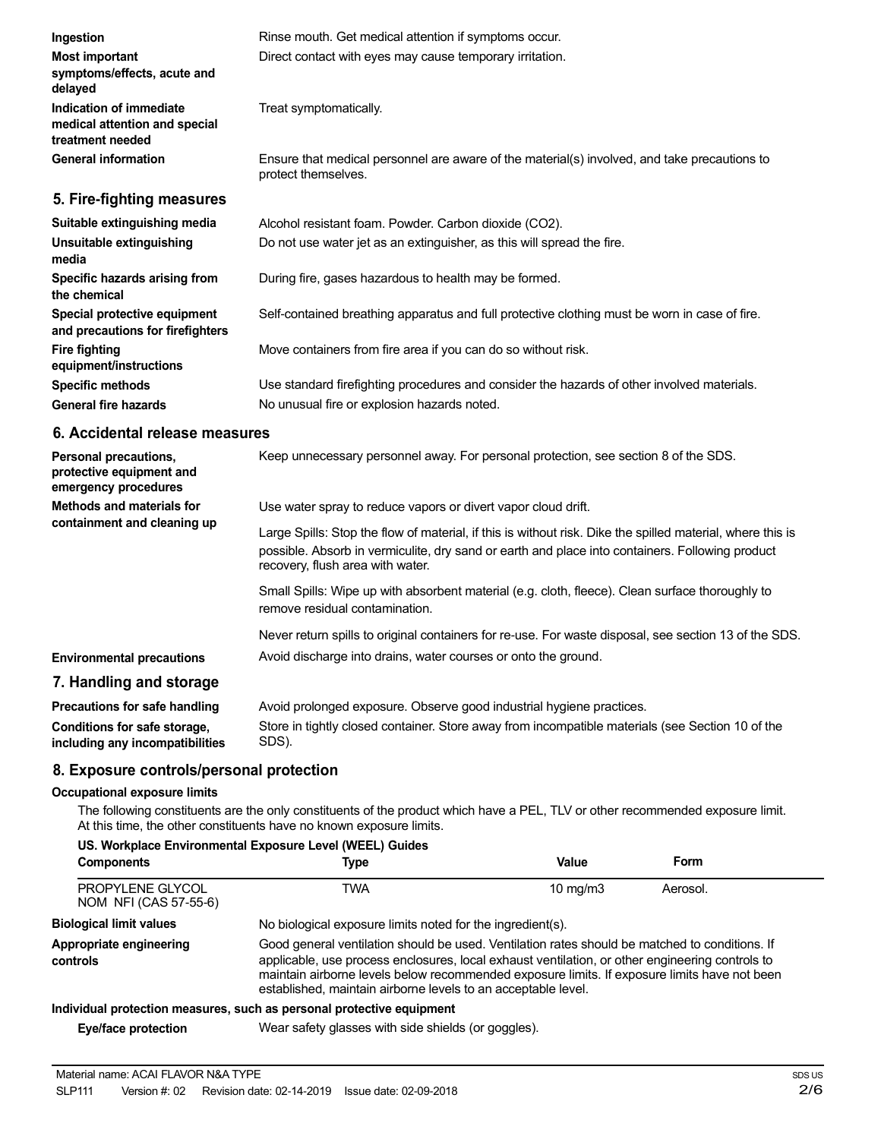| Ingestion                                                                    | Rinse mouth. Get medical attention if symptoms occur.                                                               |
|------------------------------------------------------------------------------|---------------------------------------------------------------------------------------------------------------------|
| <b>Most important</b><br>symptoms/effects, acute and<br>delayed              | Direct contact with eyes may cause temporary irritation.                                                            |
| Indication of immediate<br>medical attention and special<br>treatment needed | Treat symptomatically.                                                                                              |
| <b>General information</b>                                                   | Ensure that medical personnel are aware of the material(s) involved, and take precautions to<br>protect themselves. |
| 5. Fire-fighting measures                                                    |                                                                                                                     |
|                                                                              |                                                                                                                     |

| Alcohol resistant foam. Powder. Carbon dioxide (CO2).                                         |
|-----------------------------------------------------------------------------------------------|
| Do not use water jet as an extinguisher, as this will spread the fire.                        |
| During fire, gases hazardous to health may be formed.                                         |
| Self-contained breathing apparatus and full protective clothing must be worn in case of fire. |
| Move containers from fire area if you can do so without risk.                                 |
| Use standard firefighting procedures and consider the hazards of other involved materials.    |
| No unusual fire or explosion hazards noted.                                                   |
|                                                                                               |

#### **6. Accidental release measures**

| Personal precautions,<br>protective equipment and<br>emergency procedures | Keep unnecessary personnel away. For personal protection, see section 8 of the SDS.                                                                                                                                                               |
|---------------------------------------------------------------------------|---------------------------------------------------------------------------------------------------------------------------------------------------------------------------------------------------------------------------------------------------|
| Methods and materials for<br>containment and cleaning up                  | Use water spray to reduce vapors or divert vapor cloud drift.                                                                                                                                                                                     |
|                                                                           | Large Spills: Stop the flow of material, if this is without risk. Dike the spilled material, where this is<br>possible. Absorb in vermiculite, dry sand or earth and place into containers. Following product<br>recovery, flush area with water. |
|                                                                           | Small Spills: Wipe up with absorbent material (e.g. cloth, fleece). Clean surface thoroughly to<br>remove residual contamination.                                                                                                                 |
|                                                                           | Never return spills to original containers for re-use. For waste disposal, see section 13 of the SDS.                                                                                                                                             |
| <b>Environmental precautions</b>                                          | Avoid discharge into drains, water courses or onto the ground.                                                                                                                                                                                    |
| 7. Handling and storage                                                   |                                                                                                                                                                                                                                                   |
| Precautions for safe handling                                             | Avoid prolonged exposure. Observe good industrial hygiene practices.                                                                                                                                                                              |

| 1.19999919119191919191191111911119 | word proforgod oxpocaro. Oboor vo good induction riggiono praeticos.                             |
|------------------------------------|--------------------------------------------------------------------------------------------------|
| Conditions for safe storage,       | Store in tightly closed container. Store away from incompatible materials (see Section 10 of the |
| including any incompatibilities    | SDS).                                                                                            |

# **8. Exposure controls/personal protection**

#### **Occupational exposure limits**

The following constituents are the only constituents of the product which have a PEL, TLV or other recommended exposure limit. At this time, the other constituents have no known exposure limits.

#### **US. Workplace Environmental Exposure Level (WEEL) Guides**

| <b>Components</b>                         | Type                                                                                                                                                                                                                                                                                                                                                               | Value             | Form     |  |
|-------------------------------------------|--------------------------------------------------------------------------------------------------------------------------------------------------------------------------------------------------------------------------------------------------------------------------------------------------------------------------------------------------------------------|-------------------|----------|--|
| PROPYLENE GLYCOL<br>NOM NFI (CAS 57-55-6) | TWA                                                                                                                                                                                                                                                                                                                                                                | $10 \text{ mg/m}$ | Aerosol. |  |
| <b>Biological limit values</b>            | No biological exposure limits noted for the ingredient(s).                                                                                                                                                                                                                                                                                                         |                   |          |  |
| Appropriate engineering<br>controls       | Good general ventilation should be used. Ventilation rates should be matched to conditions. If<br>applicable, use process enclosures, local exhaust ventilation, or other engineering controls to<br>maintain airborne levels below recommended exposure limits. If exposure limits have not been<br>established, maintain airborne levels to an acceptable level. |                   |          |  |
|                                           | Individual protection measures, such as personal protective equipment                                                                                                                                                                                                                                                                                              |                   |          |  |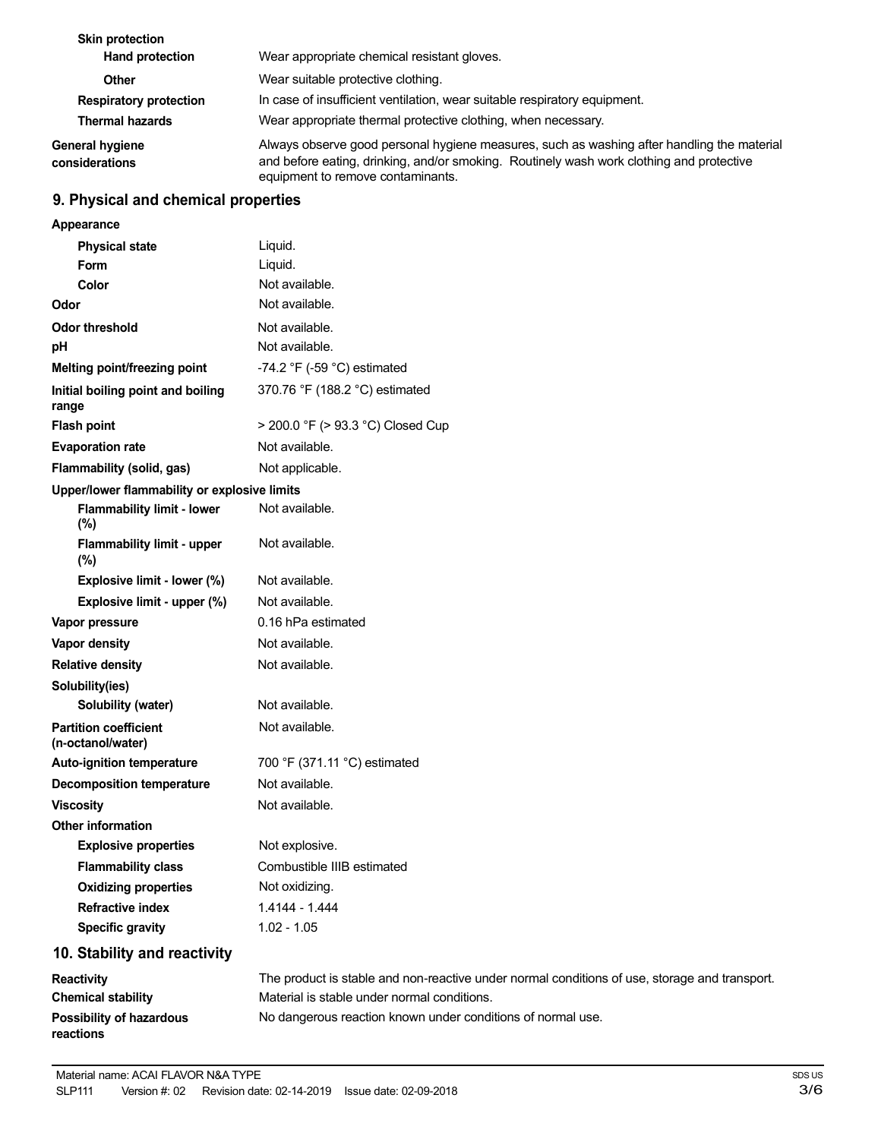| <b>Skin protection</b><br><b>Hand protection</b> | Wear appropriate chemical resistant gloves.                                                                                                                                                                                 |
|--------------------------------------------------|-----------------------------------------------------------------------------------------------------------------------------------------------------------------------------------------------------------------------------|
| Other                                            | Wear suitable protective clothing.                                                                                                                                                                                          |
| <b>Respiratory protection</b>                    | In case of insufficient ventilation, wear suitable respiratory equipment.                                                                                                                                                   |
| <b>Thermal hazards</b>                           | Wear appropriate thermal protective clothing, when necessary.                                                                                                                                                               |
| <b>General hygiene</b><br>considerations         | Always observe good personal hygiene measures, such as washing after handling the material<br>and before eating, drinking, and/or smoking. Routinely wash work clothing and protective<br>equipment to remove contaminants. |

# **9. Physical and chemical properties**

| Appearance                                        |                                                                                               |
|---------------------------------------------------|-----------------------------------------------------------------------------------------------|
| <b>Physical state</b>                             | Liquid.                                                                                       |
| Form                                              | Liquid.                                                                                       |
| Color                                             | Not available.                                                                                |
| Odor                                              | Not available.                                                                                |
| <b>Odor threshold</b>                             | Not available.                                                                                |
| pH                                                | Not available.                                                                                |
| Melting point/freezing point                      | -74.2 °F (-59 °C) estimated                                                                   |
| Initial boiling point and boiling<br>range        | 370.76 °F (188.2 °C) estimated                                                                |
| <b>Flash point</b>                                | > 200.0 °F (> 93.3 °C) Closed Cup                                                             |
| <b>Evaporation rate</b>                           | Not available.                                                                                |
| Flammability (solid, gas)                         | Not applicable.                                                                               |
| Upper/lower flammability or explosive limits      |                                                                                               |
| <b>Flammability limit - lower</b><br>(%)          | Not available.                                                                                |
| Flammability limit - upper<br>(%)                 | Not available.                                                                                |
| Explosive limit - lower (%)                       | Not available.                                                                                |
| Explosive limit - upper (%)                       | Not available.                                                                                |
| Vapor pressure                                    | 0.16 hPa estimated                                                                            |
| Vapor density                                     | Not available.                                                                                |
| <b>Relative density</b>                           | Not available.                                                                                |
| Solubility(ies)                                   |                                                                                               |
| Solubility (water)                                | Not available.                                                                                |
| <b>Partition coefficient</b><br>(n-octanol/water) | Not available.                                                                                |
| <b>Auto-ignition temperature</b>                  | 700 °F (371.11 °C) estimated                                                                  |
| <b>Decomposition temperature</b>                  | Not available.                                                                                |
| <b>Viscosity</b>                                  | Not available.                                                                                |
| <b>Other information</b>                          |                                                                                               |
| <b>Explosive properties</b>                       | Not explosive.                                                                                |
| <b>Flammability class</b>                         | Combustible IIIB estimated                                                                    |
| <b>Oxidizing properties</b>                       | Not oxidizing.                                                                                |
| <b>Refractive index</b>                           | 1.4144 - 1.444                                                                                |
| <b>Specific gravity</b>                           | $1.02 - 1.05$                                                                                 |
| 10. Stability and reactivity                      |                                                                                               |
| <b>Reactivity</b>                                 | The product is stable and non-reactive under normal conditions of use, storage and transport. |

| Reactivity                      | The product is stable and non-reactive under normal conditions of use, storage and transpor |
|---------------------------------|---------------------------------------------------------------------------------------------|
| <b>Chemical stability</b>       | Material is stable under normal conditions.                                                 |
| <b>Possibility of hazardous</b> | No dangerous reaction known under conditions of normal use.                                 |
| reactions                       |                                                                                             |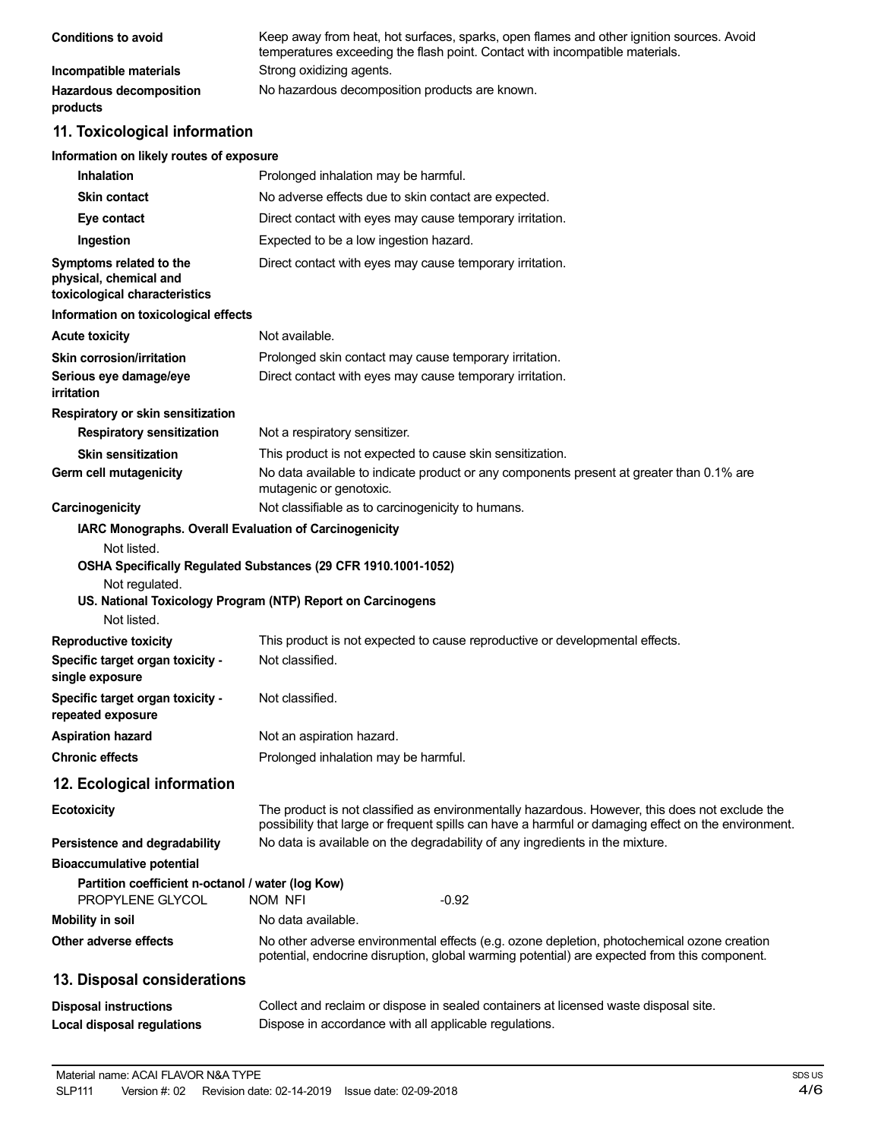| <b>Conditions to avoid</b>                 | Keep away from heat, hot surfaces, sparks, open flames and other ignition sources. Avoid<br>temperatures exceeding the flash point. Contact with incompatible materials. |
|--------------------------------------------|--------------------------------------------------------------------------------------------------------------------------------------------------------------------------|
| Incompatible materials                     | Strong oxidizing agents.                                                                                                                                                 |
| <b>Hazardous decomposition</b><br>products | No hazardous decomposition products are known.                                                                                                                           |

# **11. Toxicological information**

#### **Information on likely routes of exposure**

| <b>Inhalation</b>                                                                  | Prolonged inhalation may be harmful.                                                                                                                                                                  |
|------------------------------------------------------------------------------------|-------------------------------------------------------------------------------------------------------------------------------------------------------------------------------------------------------|
| <b>Skin contact</b>                                                                | No adverse effects due to skin contact are expected.                                                                                                                                                  |
| Eye contact                                                                        | Direct contact with eyes may cause temporary irritation.                                                                                                                                              |
| Ingestion                                                                          | Expected to be a low ingestion hazard.                                                                                                                                                                |
| Symptoms related to the<br>physical, chemical and<br>toxicological characteristics | Direct contact with eyes may cause temporary irritation.                                                                                                                                              |
| Information on toxicological effects                                               |                                                                                                                                                                                                       |
| <b>Acute toxicity</b>                                                              | Not available.                                                                                                                                                                                        |
| <b>Skin corrosion/irritation</b>                                                   | Prolonged skin contact may cause temporary irritation.                                                                                                                                                |
| Serious eye damage/eye<br>irritation                                               | Direct contact with eyes may cause temporary irritation.                                                                                                                                              |
| Respiratory or skin sensitization                                                  |                                                                                                                                                                                                       |
| <b>Respiratory sensitization</b>                                                   | Not a respiratory sensitizer.                                                                                                                                                                         |
| <b>Skin sensitization</b>                                                          | This product is not expected to cause skin sensitization.                                                                                                                                             |
| Germ cell mutagenicity                                                             | No data available to indicate product or any components present at greater than 0.1% are<br>mutagenic or genotoxic.                                                                                   |
| Carcinogenicity                                                                    | Not classifiable as to carcinogenicity to humans.                                                                                                                                                     |
| Not listed.<br>Not regulated.<br>Not listed.                                       | OSHA Specifically Regulated Substances (29 CFR 1910.1001-1052)<br>US. National Toxicology Program (NTP) Report on Carcinogens                                                                         |
| <b>Reproductive toxicity</b>                                                       | This product is not expected to cause reproductive or developmental effects.                                                                                                                          |
| Specific target organ toxicity -<br>single exposure                                | Not classified.                                                                                                                                                                                       |
| Specific target organ toxicity -<br>repeated exposure                              | Not classified.                                                                                                                                                                                       |
| <b>Aspiration hazard</b>                                                           | Not an aspiration hazard.                                                                                                                                                                             |
| <b>Chronic effects</b>                                                             | Prolonged inhalation may be harmful.                                                                                                                                                                  |
| 12. Ecological information                                                         |                                                                                                                                                                                                       |
| <b>Ecotoxicity</b>                                                                 | The product is not classified as environmentally hazardous. However, this does not exclude the<br>possibility that large or frequent spills can have a harmful or damaging effect on the environment. |
| Persistence and degradability                                                      | No data is available on the degradability of any ingredients in the mixture.                                                                                                                          |
| <b>Bioaccumulative potential</b>                                                   |                                                                                                                                                                                                       |
| Partition coefficient n-octanol / water (log Kow)<br>PROPYLENE GLYCOL              | $-0.92$<br>NOM NFI                                                                                                                                                                                    |
| <b>Mobility in soil</b>                                                            | No data available.                                                                                                                                                                                    |
| Other adverse effects                                                              | No other adverse environmental effects (e.g. ozone depletion, photochemical ozone creation<br>potential, endocrine disruption, global warming potential) are expected from this component.            |
| 13. Disposal considerations                                                        |                                                                                                                                                                                                       |
| <b>Disposal instructions</b>                                                       | Collect and reclaim or dispose in sealed containers at licensed waste disposal site.                                                                                                                  |
| Local disposal regulations                                                         | Dispose in accordance with all applicable regulations.                                                                                                                                                |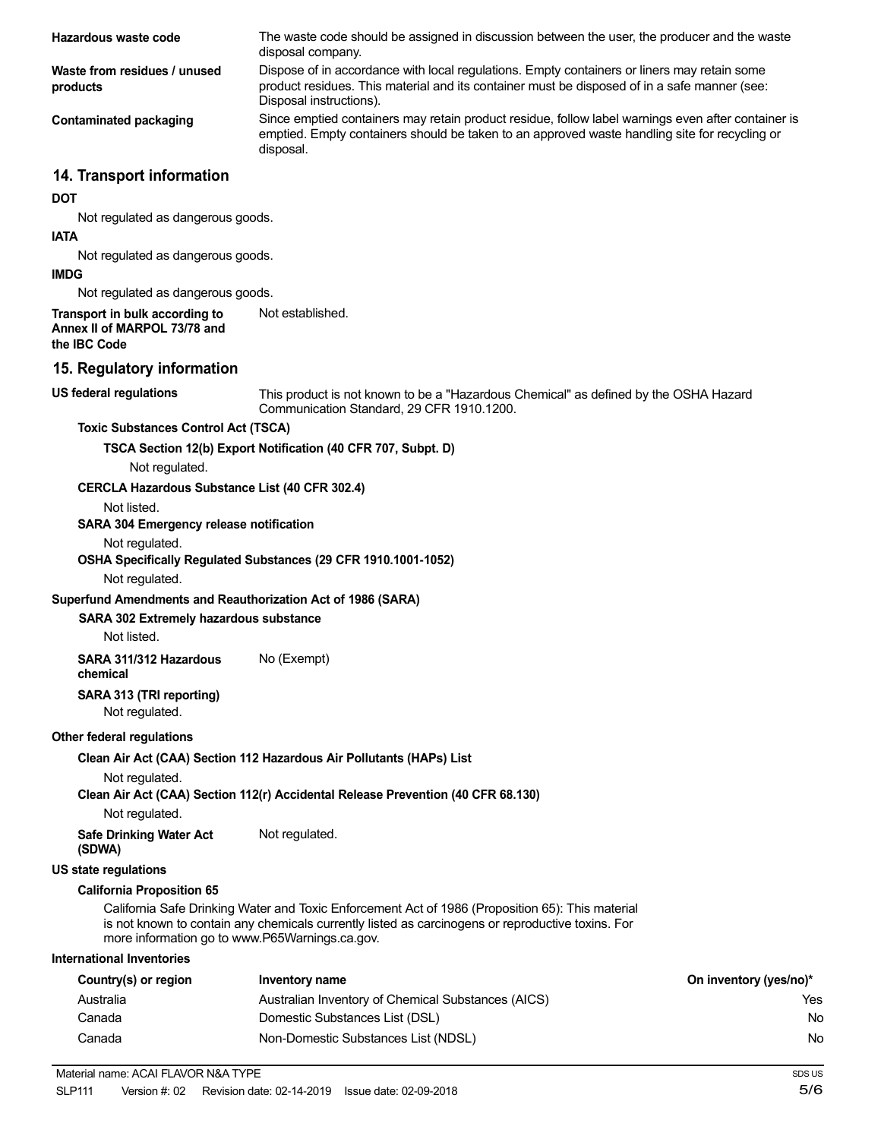| Hazardous waste code                                                           | The waste code should be assigned in discussion between the user, the producer and the waste<br>disposal company.                                                                                                      |                        |
|--------------------------------------------------------------------------------|------------------------------------------------------------------------------------------------------------------------------------------------------------------------------------------------------------------------|------------------------|
| Waste from residues / unused<br>products                                       | Dispose of in accordance with local regulations. Empty containers or liners may retain some<br>product residues. This material and its container must be disposed of in a safe manner (see:<br>Disposal instructions). |                        |
| <b>Contaminated packaging</b>                                                  | Since emptied containers may retain product residue, follow label warnings even after container is<br>emptied. Empty containers should be taken to an approved waste handling site for recycling or<br>disposal.       |                        |
| 14. Transport information                                                      |                                                                                                                                                                                                                        |                        |
| <b>DOT</b>                                                                     |                                                                                                                                                                                                                        |                        |
| Not regulated as dangerous goods.                                              |                                                                                                                                                                                                                        |                        |
| <b>IATA</b>                                                                    |                                                                                                                                                                                                                        |                        |
| Not regulated as dangerous goods.<br><b>IMDG</b>                               |                                                                                                                                                                                                                        |                        |
| Not regulated as dangerous goods.                                              |                                                                                                                                                                                                                        |                        |
| Transport in bulk according to<br>Annex II of MARPOL 73/78 and<br>the IBC Code | Not established.                                                                                                                                                                                                       |                        |
| 15. Regulatory information                                                     |                                                                                                                                                                                                                        |                        |
| <b>US federal regulations</b>                                                  | This product is not known to be a "Hazardous Chemical" as defined by the OSHA Hazard<br>Communication Standard, 29 CFR 1910.1200.                                                                                      |                        |
| <b>Toxic Substances Control Act (TSCA)</b>                                     |                                                                                                                                                                                                                        |                        |
|                                                                                | TSCA Section 12(b) Export Notification (40 CFR 707, Subpt. D)                                                                                                                                                          |                        |
| Not regulated.                                                                 |                                                                                                                                                                                                                        |                        |
| <b>CERCLA Hazardous Substance List (40 CFR 302.4)</b>                          |                                                                                                                                                                                                                        |                        |
| Not listed.                                                                    |                                                                                                                                                                                                                        |                        |
| SARA 304 Emergency release notification                                        |                                                                                                                                                                                                                        |                        |
| Not regulated.<br>Not regulated.                                               | OSHA Specifically Regulated Substances (29 CFR 1910.1001-1052)                                                                                                                                                         |                        |
| Superfund Amendments and Reauthorization Act of 1986 (SARA)                    |                                                                                                                                                                                                                        |                        |
| SARA 302 Extremely hazardous substance                                         |                                                                                                                                                                                                                        |                        |
| Not listed.                                                                    |                                                                                                                                                                                                                        |                        |
| SARA 311/312 Hazardous<br>chemical                                             | No (Exempt)                                                                                                                                                                                                            |                        |
| SARA 313 (TRI reporting)<br>Not regulated.                                     |                                                                                                                                                                                                                        |                        |
| Other federal regulations                                                      |                                                                                                                                                                                                                        |                        |
|                                                                                | Clean Air Act (CAA) Section 112 Hazardous Air Pollutants (HAPs) List                                                                                                                                                   |                        |
| Not regulated.                                                                 |                                                                                                                                                                                                                        |                        |
|                                                                                | Clean Air Act (CAA) Section 112(r) Accidental Release Prevention (40 CFR 68.130)                                                                                                                                       |                        |
| Not regulated.<br><b>Safe Drinking Water Act</b>                               | Not regulated.                                                                                                                                                                                                         |                        |
| (SDWA)                                                                         |                                                                                                                                                                                                                        |                        |
| <b>US state regulations</b>                                                    |                                                                                                                                                                                                                        |                        |
| <b>California Proposition 65</b>                                               |                                                                                                                                                                                                                        |                        |
| more information go to www.P65Warnings.ca.gov.                                 | California Safe Drinking Water and Toxic Enforcement Act of 1986 (Proposition 65): This material<br>is not known to contain any chemicals currently listed as carcinogens or reproductive toxins. For                  |                        |
| <b>International Inventories</b>                                               |                                                                                                                                                                                                                        |                        |
| Country(s) or region                                                           | <b>Inventory name</b>                                                                                                                                                                                                  | On inventory (yes/no)* |
| Australia                                                                      | Australian Inventory of Chemical Substances (AICS)                                                                                                                                                                     | Yes                    |
| Canada                                                                         | Domestic Substances List (DSL)                                                                                                                                                                                         | No.                    |
| Canada                                                                         | Non-Domestic Substances List (NDSL)                                                                                                                                                                                    | No.                    |